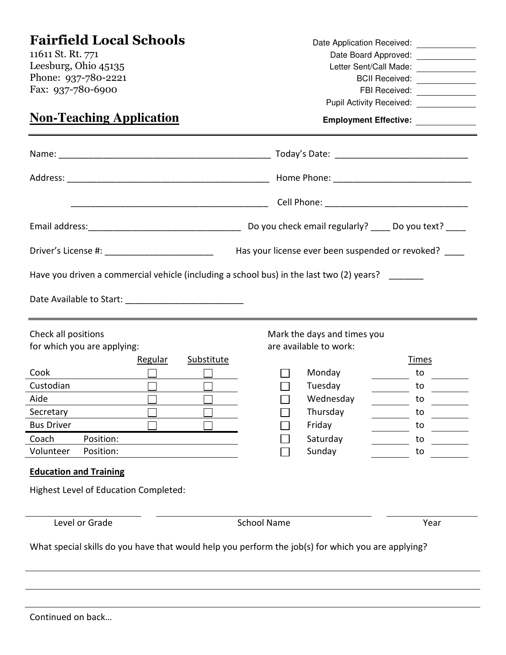|                                                                                                       |                             | Date Application Received: _____________ |  |  |  |  |
|-------------------------------------------------------------------------------------------------------|-----------------------------|------------------------------------------|--|--|--|--|
| 11611 St. Rt. 771                                                                                     |                             | Date Board Approved: _____________       |  |  |  |  |
| Leesburg, Ohio 45135                                                                                  |                             | Letter Sent/Call Made: ______________    |  |  |  |  |
| Phone: 937-780-2221                                                                                   |                             | BCII Received: _____________             |  |  |  |  |
| Fax: 937-780-6900                                                                                     |                             | FBI Received: ____________               |  |  |  |  |
|                                                                                                       |                             | Pupil Activity Received: _____________   |  |  |  |  |
| <b>Non-Teaching Application</b>                                                                       |                             | Employment Effective: ____________       |  |  |  |  |
|                                                                                                       |                             |                                          |  |  |  |  |
|                                                                                                       |                             |                                          |  |  |  |  |
|                                                                                                       |                             |                                          |  |  |  |  |
|                                                                                                       |                             |                                          |  |  |  |  |
| Driver's License #: _____________________________<br>Has your license ever been suspended or revoked? |                             |                                          |  |  |  |  |
| Have you driven a commercial vehicle (including a school bus) in the last two (2) years?              |                             |                                          |  |  |  |  |
|                                                                                                       |                             |                                          |  |  |  |  |
| Check all positions                                                                                   | Mark the days and times you |                                          |  |  |  |  |
| for which you are applying:                                                                           | are available to work:      |                                          |  |  |  |  |
| Substitute<br><b>Regular</b>                                                                          |                             | <u>Times</u>                             |  |  |  |  |
| Cook<br>$\Box$<br>$\Box$                                                                              | Monday                      | to                                       |  |  |  |  |
| Custodian<br>$\overline{\phantom{0}}$                                                                 | Tuesday                     | to                                       |  |  |  |  |
| Aide                                                                                                  | Wednesday                   | to.                                      |  |  |  |  |
| Secretary                                                                                             | Thursday                    | to                                       |  |  |  |  |
| <b>Bus Driver</b>                                                                                     | Friday                      | to                                       |  |  |  |  |
| Coach<br>Position:                                                                                    | Saturday                    | to                                       |  |  |  |  |
| Volunteer<br>Position:                                                                                | Sunday                      | to                                       |  |  |  |  |
| <b>Education and Training</b>                                                                         |                             |                                          |  |  |  |  |
| Highest Level of Education Completed:                                                                 |                             |                                          |  |  |  |  |
| Level or Grade                                                                                        | <b>School Name</b>          | Year                                     |  |  |  |  |
| What special skills do you have that would help you perform the job(s) for which you are applying?    |                             |                                          |  |  |  |  |